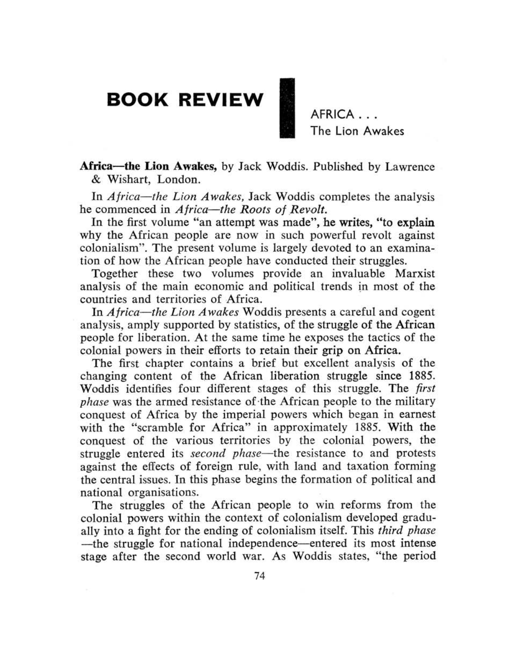## **BOOK REVIEW**

AFRICA ... The Lion Awakes

Africa-the Lion Awakes, by Jack Woddis. Published by Lawrence & Wishart, London.

In *Africa-the Lion Awakes,* Jack Woddis completes the analysis he commenced in *Africa*—the *Roots* of *Revolt*.

In the first volume "an attempt was made", be writes, "to explain why the African people are now in such powerful revolt against colonialism". The present volume is largely devoted to an examination of how the African people have conducted their struggles,

Together these two volumes provide an invaluable Marxist analysis of the main economic and political trends in most of the countries and territories of Africa.

In *Africa*—the *Lion Awakes* Woddis presents a careful and cogent analysis, amply supported by statistics, of the struggle of the African people for liberation. At the same time he exposes the tactics of the colonial powers in their efforts to retain their grip on Africa.

The first chapter contains a brief but excellent analysis of the changing content of the African liberation struggle since 1885. Woddis identifies four different stages of this struggle. The *first phase* was the armed resistance of·tbe African people to the military conquest of Africa by the imperial powers which began in earnest with the "scramble for Africa" in approximately 1885. With the conquest of the various territories by the colonial powers, tbe struggle entered its *second phase*—the resistance to and protests against the effects of foreign rule, with land and taxation forming the central issues. In this phase begins the formation of political and national organisations.

The struggles of the African people to win reforms from the colonial powers within the context of colonialism developed gradually into a fight for the ending of colonialism itself. This *third phase* -the struggle for national independence--entered its most intense stage after the second world war. As Woddis states, "the period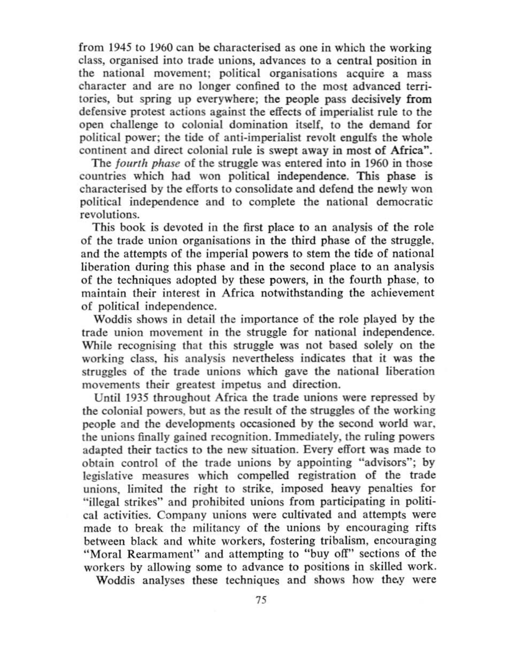from 1945 to 1960 can be characterised as one in which the working class, organised into trade unions, advances to a central position in the national movement; political organisations acquire a mass character and are no longer confined to the most advanced territories, but spring up everywhere; the people pass decisively from defensive protest actions against the effects of imperialist rule to the open challenge to colonial domination itself, to the demand for political power; the tide of anti·imperialist revolt engulfs the wbole continent and direct colonial rule is swept away in most of Africa",

The *jourth phase* of the struggle was entered into in 1960 in those countries which had won political independence. This phase is characterised by the efforts to consolidate and defend the newly won political independence and to complete the national democratic revolutions.

This book is devoted in the first place to an analysis of the role of the trade union organisations in the third phase of the struggle. and the attempts of the imperial powers to stem the tide of national liberation during this phase and in the second place to an analysis of the techniques adopted by these powers, in the fourth phase, to maintain their interest in Africa notwithstanding the achievement of political independence.

Woddis shows in detail the importance of the role played by the trade union movcment in the struggle for national independence. While recognising that this struggle was not based solely on the working class, his analysis nevertheless indicates that it was the struggles of the trade unions which gave the national liberation movcments their greatest impetus and direction.

Until 1935 throughout Africa the trade unions were repressed by the colonial powers. but as the result of the struggles of the working people and the developments occasioned by the second world war. the unions finally gained recognition, Immediately, the ruling powers adapted their tactics to the new situation. Every effort was made to obtain control of the trade unions by appointing "advisors"; by legislative measures which compelled registration of the trade unions, limited the right to strike, imposed heavy penalties for "illegal strikes" and prohibited unions from participating in political activities. Company unions were cultivated and attempts were made to break the militancy of the unions by encouraging rifts between black and white workers, fostering tribalism, encouraging "Moral Rearmament" and attempting to "buy off" sections of the workers by allowing some to advance to positions in skilled work.

Woddis analyses these techniques and shows how they were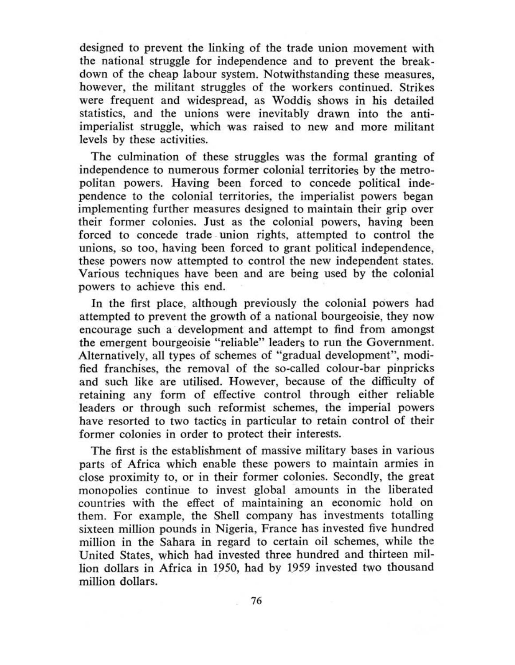designed to prevent the linking of the trade union movement with the national struggle for independence and to prevent the breakdown of the cheap labour system. Notwithstanding these measures, however, the militant struggles of the workers continued. Strikes were frequent and widespread, as Woddis shows in his detailed statistics, and the unions were inevitably drawn into the antiimperialist struggle, which was raised to new and more militant levels by these activities.

The culmination of these struggles was the formal granting of independence to numerous former colonial territories by the metropolitan powers. Having been forced to concede political independence to the colonial territories, the imperialist powers began implementing further measures designed to maintain their grip over their former colonies. Just as the colonial powers, having been forced to concede trade union rights, attempted to control the unions, so too, having been forced to grant political independence, these powers now attempted to control the new independent states. Various techniques have been and are being used by the colonial powers to achieve this end.

In the first place, although previously the colonial powers had attempted to prevent the growth of a national bourgeoisie, they now encourage such a development and attempt to find from amongst the emergent bourgeoisie "reliable" leaders to run the Government. Alternatively, all types of schemes of "gradual development". modified franchises, the removal of the so-called colour-bar pinpricks and such like are utilised. However, because of the difficulty of retaining any form of effective control through either reliable leaders or through such reformist schemes, the imperial powers have resorted to two tactics in particular to retain control of their former colonies in order to protect their interests.

The first is the establishment of massive military bases in various parts of Africa which enable these powers to maintain armies in close proximity to, or in their former colonies. Secondly, the great monopolies continue to invest global amounts in the liberated countries with the effect of maintaining an economic hold on them. For example, the Shell company has investments totalling sixteen million pounds in Nigeria, France has invested five hundred million in the Sahara in regard to certain oil schemes, while the United States, which had invested three hundred and thirteen million dollars in Africa in 1950, had by 1959 invested two thousand million dollars.